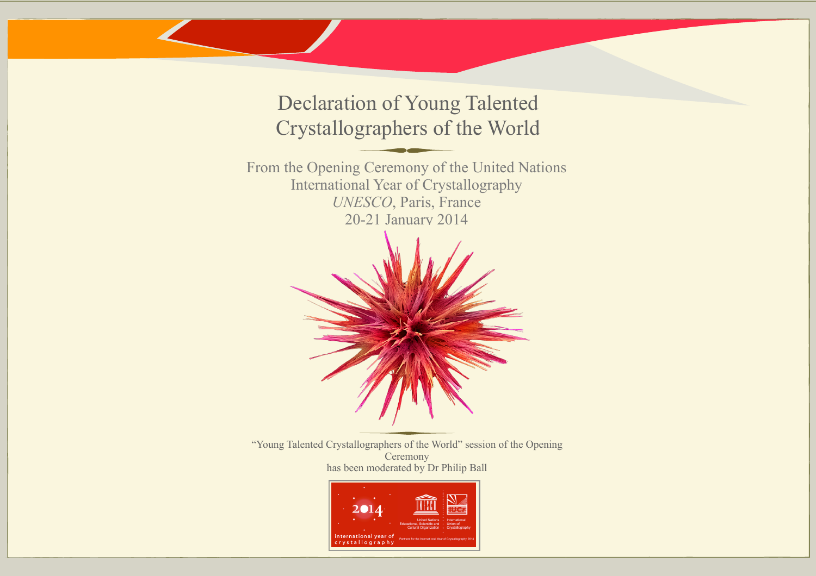Declaration of Young Talented Crystallographers of the World

From the Opening Ceremony of the United Nations International Year of Crystallography *UNESCO*, Paris, France 20-21 January 2014



"Young Talented Crystallographers of the World" session of the Opening **Ceremony** has been moderated by Dr Philip Ball